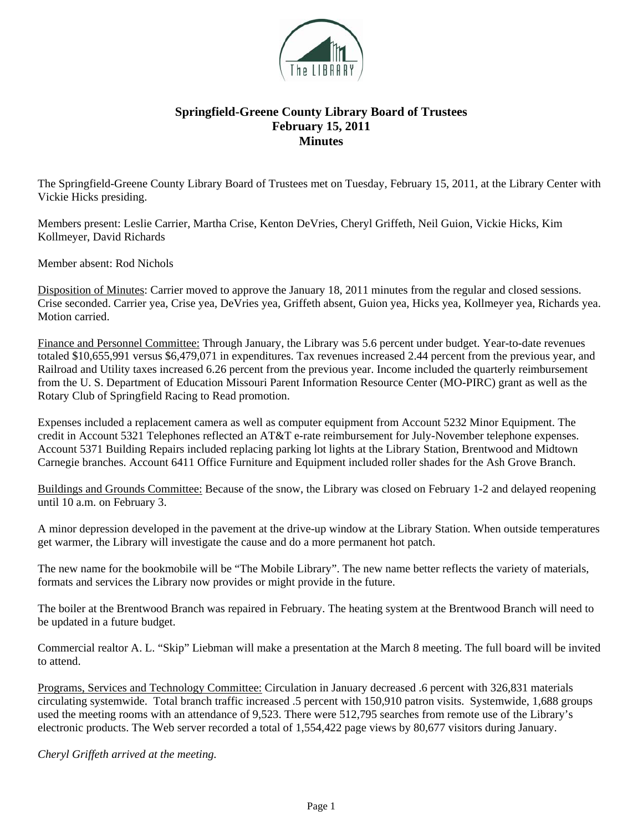

## **Springfield-Greene County Library Board of Trustees February 15, 2011 Minutes**

The Springfield-Greene County Library Board of Trustees met on Tuesday, February 15, 2011, at the Library Center with Vickie Hicks presiding.

Members present: Leslie Carrier, Martha Crise, Kenton DeVries, Cheryl Griffeth, Neil Guion, Vickie Hicks, Kim Kollmeyer, David Richards

Member absent: Rod Nichols

Disposition of Minutes: Carrier moved to approve the January 18, 2011 minutes from the regular and closed sessions. Crise seconded. Carrier yea, Crise yea, DeVries yea, Griffeth absent, Guion yea, Hicks yea, Kollmeyer yea, Richards yea. Motion carried.

Finance and Personnel Committee: Through January, the Library was 5.6 percent under budget. Year-to-date revenues totaled \$10,655,991 versus \$6,479,071 in expenditures. Tax revenues increased 2.44 percent from the previous year, and Railroad and Utility taxes increased 6.26 percent from the previous year. Income included the quarterly reimbursement from the U. S. Department of Education Missouri Parent Information Resource Center (MO-PIRC) grant as well as the Rotary Club of Springfield Racing to Read promotion.

Expenses included a replacement camera as well as computer equipment from Account 5232 Minor Equipment. The credit in Account 5321 Telephones reflected an AT&T e-rate reimbursement for July-November telephone expenses. Account 5371 Building Repairs included replacing parking lot lights at the Library Station, Brentwood and Midtown Carnegie branches. Account 6411 Office Furniture and Equipment included roller shades for the Ash Grove Branch.

Buildings and Grounds Committee: Because of the snow, the Library was closed on February 1-2 and delayed reopening until 10 a.m. on February 3.

A minor depression developed in the pavement at the drive-up window at the Library Station. When outside temperatures get warmer, the Library will investigate the cause and do a more permanent hot patch.

The new name for the bookmobile will be "The Mobile Library". The new name better reflects the variety of materials, formats and services the Library now provides or might provide in the future.

The boiler at the Brentwood Branch was repaired in February. The heating system at the Brentwood Branch will need to be updated in a future budget.

Commercial realtor A. L. "Skip" Liebman will make a presentation at the March 8 meeting. The full board will be invited to attend.

Programs, Services and Technology Committee: Circulation in January decreased .6 percent with 326,831 materials circulating systemwide. Total branch traffic increased .5 percent with 150,910 patron visits. Systemwide, 1,688 groups used the meeting rooms with an attendance of 9,523. There were 512,795 searches from remote use of the Library's electronic products. The Web server recorded a total of 1,554,422 page views by 80,677 visitors during January.

*Cheryl Griffeth arrived at the meeting.*